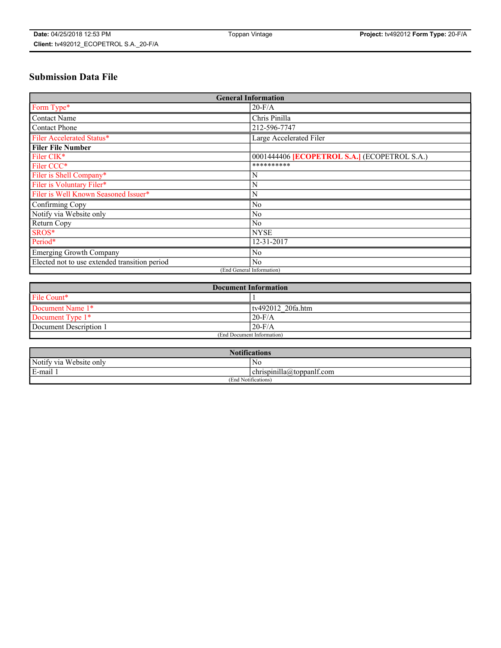# **Submission Data File**

| <b>General Information</b>                    |                                              |
|-----------------------------------------------|----------------------------------------------|
| Form Type*                                    | $20-F/A$                                     |
| <b>Contact Name</b>                           | Chris Pinilla                                |
| <b>Contact Phone</b>                          | 212-596-7747                                 |
| Filer Accelerated Status*                     | Large Accelerated Filer                      |
| <b>Filer File Number</b>                      |                                              |
| Filer CIK*                                    | 0001444406 [ECOPETROL S.A.] (ECOPETROL S.A.) |
| Filer CCC*                                    | **********                                   |
| Filer is Shell Company*                       | N                                            |
| Filer is Voluntary Filer*                     | N                                            |
| Filer is Well Known Seasoned Issuer*          | N                                            |
| Confirming Copy                               | N <sub>0</sub>                               |
| Notify via Website only                       | N <sub>0</sub>                               |
| Return Copy                                   | N <sub>0</sub>                               |
| SROS*                                         | <b>NYSE</b>                                  |
| Period*                                       | 12-31-2017                                   |
| Emerging Growth Company                       | N <sub>0</sub>                               |
| Elected not to use extended transition period | No                                           |
| (End General Information)                     |                                              |

| <b>Document Information</b> |                   |
|-----------------------------|-------------------|
| File Count*                 |                   |
| Document Name 1*            | tv492012 20fa.htm |
| Document Type 1*            | $20-F/A$          |
| Document Description 1      | $20-F/A$          |
| (End Document Information)  |                   |

| <b>Notifications</b>       |                                        |
|----------------------------|----------------------------------------|
| Notify via<br>Website only | No                                     |
| E-mail                     | $\dots$<br>chrispinilla(a)toppanit.com |
| (End Notifications)        |                                        |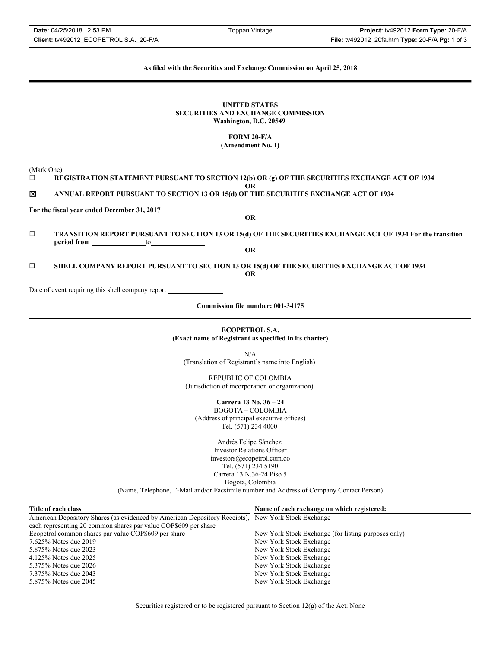## **As filed with the Securities and Exchange Commission on April 25, 2018**

#### **UNITED STATES SECURITIES AND EXCHANGE COMMISSION Washington, D.C. 20549**

**FORM 20-F/A**

**(Amendment No. 1)**

(Mark One)

 **REGISTRATION STATEMENT PURSUANT TO SECTION 12(b) OR (g) OF THE SECURITIES EXCHANGE ACT OF 1934 OR**

\_ **ANNUAL REPORT PURSUANT TO SECTION 13 OR 15(d) OF THE SECURITIES EXCHANGE ACT OF 1934**

**For the fiscal year ended December 31, 2017**

**OR**

 **TRANSITION REPORT PURSUANT TO SECTION 13 OR 15(d) OF THE SECURITIES EXCHANGE ACT OF 1934 For the transition**  period from to to to to to to to to to to to the second to the second to the second to the second to the second to the second to the second to the second to the second to the second to the second to the second to the secon

**OR**

 **SHELL COMPANY REPORT PURSUANT TO SECTION 13 OR 15(d) OF THE SECURITIES EXCHANGE ACT OF 1934 OR**

Date of event requiring this shell company report

**Commission file number: 001-34175**

## **ECOPETROL S.A. (Exact name of Registrant as specified in its charter)**

N/A (Translation of Registrant's name into English)

REPUBLIC OF COLOMBIA (Jurisdiction of incorporation or organization)

**Carrera 13 No. 36 – 24** BOGOTA – COLOMBIA (Address of principal executive offices) Tel. (571) 234 4000

> Andrés Felipe Sánchez Investor Relations Officer investors@ecopetrol.com.co Tel. (571) 234 5190 Carrera 13 N.36-24 Piso 5 Bogota, Colombia

(Name, Telephone, E-Mail and/or Facsimile number and Address of Company Contact Person)

| Title of each class                                                                                | Name of each exchange on which registered:          |
|----------------------------------------------------------------------------------------------------|-----------------------------------------------------|
| American Depository Shares (as evidenced by American Depository Receipts), New York Stock Exchange |                                                     |
| each representing 20 common shares par value COP\$609 per share                                    |                                                     |
| Ecopetrol common shares par value COP\$609 per share                                               | New York Stock Exchange (for listing purposes only) |
| 7.625% Notes due 2019                                                                              | New York Stock Exchange                             |
| 5.875% Notes due 2023                                                                              | New York Stock Exchange                             |
| 4.125% Notes due 2025                                                                              | New York Stock Exchange                             |
| 5.375% Notes due 2026                                                                              | New York Stock Exchange                             |
| 7.375% Notes due 2043                                                                              | New York Stock Exchange                             |
| 5.875% Notes due 2045                                                                              | New York Stock Exchange                             |

Securities registered or to be registered pursuant to Section 12(g) of the Act: None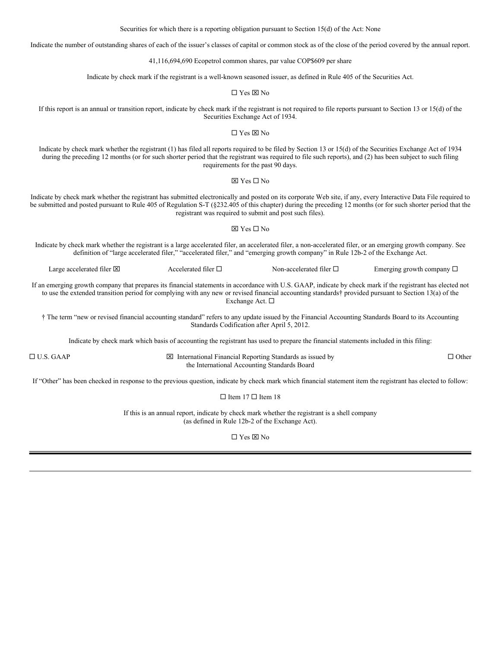Securities for which there is a reporting obligation pursuant to Section 15(d) of the Act: None

Indicate the number of outstanding shares of each of the issuer's classes of capital or common stock as of the close of the period covered by the annual report.

41,116,694,690 Ecopetrol common shares, par value COP\$609 per share

Indicate by check mark if the registrant is a well-known seasoned issuer, as defined in Rule 405 of the Securities Act.

 $\Box$  Yes  $\boxtimes$  No

If this report is an annual or transition report, indicate by check mark if the registrant is not required to file reports pursuant to Section 13 or 15(d) of the Securities Exchange Act of 1934.

 $\Box$  Yes  $\boxtimes$  No

Indicate by check mark whether the registrant (1) has filed all reports required to be filed by Section 13 or 15(d) of the Securities Exchange Act of 1934 during the preceding 12 months (or for such shorter period that the registrant was required to file such reports), and (2) has been subject to such filing requirements for the past 90 days.

 $\boxtimes$  Yes  $\Box$  No

Indicate by check mark whether the registrant has submitted electronically and posted on its corporate Web site, if any, every Interactive Data File required to be submitted and posted pursuant to Rule 405 of Regulation S-T (§232.405 of this chapter) during the preceding 12 months (or for such shorter period that the registrant was required to submit and post such files).

#### $\boxtimes$  Yes  $\Box$  No

Indicate by check mark whether the registrant is a large accelerated filer, an accelerated filer, a non-accelerated filer, or an emerging growth company. See definition of "large accelerated filer," "accelerated filer," and "emerging growth company" in Rule 12b-2 of the Exchange Act.

Large accelerated filer  $\Box$ <br>Accelerated filer  $\Box$  Non-accelerated filer  $\Box$  Emerging growth company  $\Box$ 

If an emerging growth company that prepares its financial statements in accordance with U.S. GAAP, indicate by check mark if the registrant has elected not to use the extended transition period for complying with any new or revised financial accounting standards† provided pursuant to Section 13(a) of the Exchange Act.

† The term "new or revised financial accounting standard" refers to any update issued by the Financial Accounting Standards Board to its Accounting Standards Codification after April 5, 2012.

Indicate by check mark which basis of accounting the registrant has used to prepare the financial statements included in this filing:

 $\boxed{\boxtimes}$  International Financial Reporting Standards as issued by the International Accounting Standards Board

If "Other" has been checked in response to the previous question, indicate by check mark which financial statement item the registrant has elected to follow:

 $\Box$  Other

 $\Box$  Item 17  $\Box$  Item 18

If this is an annual report, indicate by check mark whether the registrant is a shell company (as defined in Rule 12b-2 of the Exchange Act).

 $\Box$  Yes  $\boxtimes$  No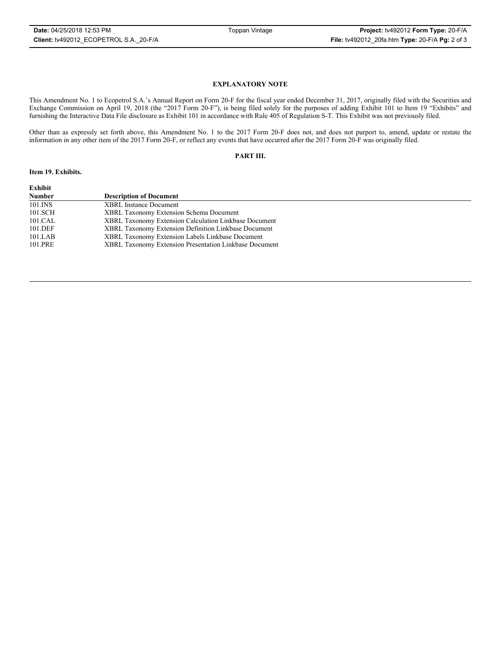#### **EXPLANATORY NOTE**

This Amendment No. 1 to Ecopetrol S.A.'s Annual Report on Form 20-F for the fiscal year ended December 31, 2017, originally filed with the Securities and Exchange Commission on April 19, 2018 (the "2017 Form 20-F"), is being filed solely for the purposes of adding Exhibit 101 to Item 19 "Exhibits" and furnishing the Interactive Data File disclosure as Exhibit 101 in accordance with Rule 405 of Regulation S-T. This Exhibit was not previously filed.

Other than as expressly set forth above, this Amendment No. 1 to the 2017 Form 20-F does not, and does not purport to, amend, update or restate the information in any other item of the 2017 Form 20-F, or reflect any events that have occurred after the 2017 Form 20-F was originally filed.

## **PART III.**

#### **Item 19. Exhibits.**

| Exhibit       |                                                        |
|---------------|--------------------------------------------------------|
| <b>Number</b> | <b>Description of Document</b>                         |
| $101$ . INS   | <b>XBRL</b> Instance Document                          |
| 101.SCH       | <b>XBRL Taxonomy Extension Schema Document</b>         |
| 101.CAL       | XBRL Taxonomy Extension Calculation Linkbase Document  |
| 101.DEF       | XBRL Taxonomy Extension Definition Linkbase Document   |
| 101.LAB       | XBRL Taxonomy Extension Labels Linkbase Document       |
| 101.PRE       | XBRL Taxonomy Extension Presentation Linkbase Document |